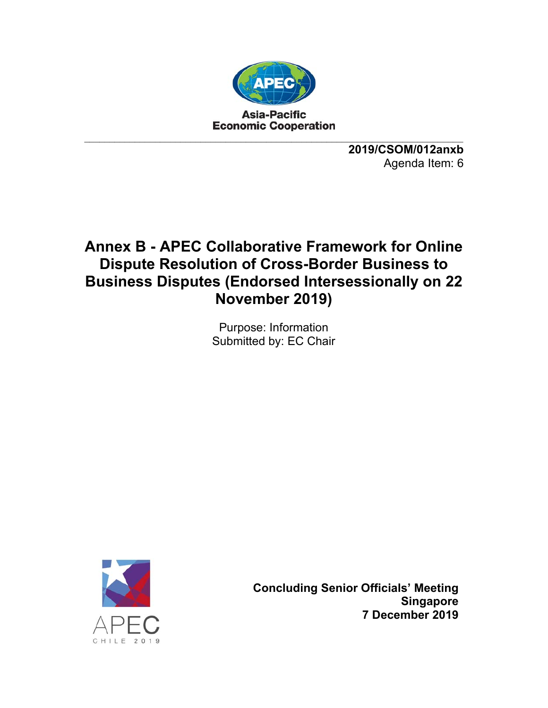

**2019/CSOM/012anxb**  Agenda Item: 6

# **Annex B - APEC Collaborative Framework for Online Dispute Resolution of Cross-Border Business to Business Disputes (Endorsed Intersessionally on 22 November 2019)**

Purpose: Information Submitted by: EC Chair



**Concluding Senior Officials' Meeting Singapore 7 December 2019**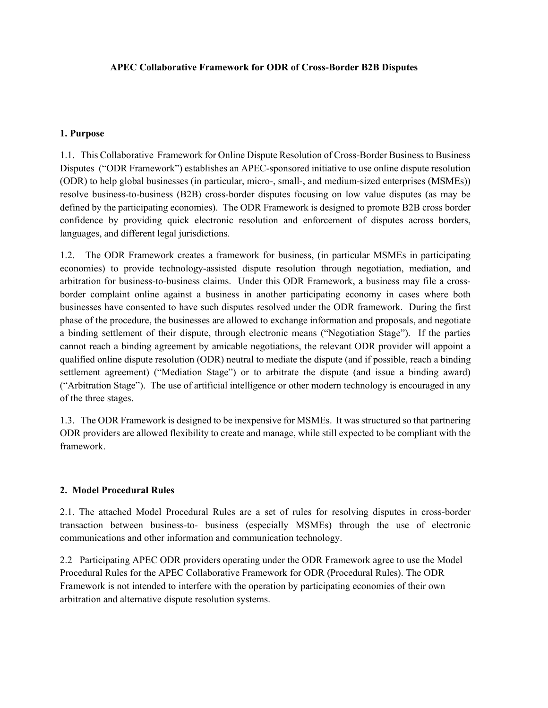## **APEC Collaborative Framework for ODR of Cross-Border B2B Disputes**

## **1. Purpose**

1.1. This Collaborative Framework for Online Dispute Resolution of Cross-Border Business to Business Disputes ("ODR Framework") establishes an APEC-sponsored initiative to use online dispute resolution (ODR) to help global businesses (in particular, micro-, small-, and medium-sized enterprises (MSMEs)) resolve business-to-business (B2B) cross-border disputes focusing on low value disputes (as may be defined by the participating economies). The ODR Framework is designed to promote B2B cross border confidence by providing quick electronic resolution and enforcement of disputes across borders, languages, and different legal jurisdictions.

1.2. The ODR Framework creates a framework for business, (in particular MSMEs in participating economies) to provide technology-assisted dispute resolution through negotiation, mediation, and arbitration for business-to-business claims. Under this ODR Framework, a business may file a crossborder complaint online against a business in another participating economy in cases where both businesses have consented to have such disputes resolved under the ODR framework. During the first phase of the procedure, the businesses are allowed to exchange information and proposals, and negotiate a binding settlement of their dispute, through electronic means ("Negotiation Stage"). If the parties cannot reach a binding agreement by amicable negotiations, the relevant ODR provider will appoint a qualified online dispute resolution (ODR) neutral to mediate the dispute (and if possible, reach a binding settlement agreement) ("Mediation Stage") or to arbitrate the dispute (and issue a binding award) ("Arbitration Stage"). The use of artificial intelligence or other modern technology is encouraged in any of the three stages.

1.3. The ODR Framework is designed to be inexpensive for MSMEs. It was structured so that partnering ODR providers are allowed flexibility to create and manage, while still expected to be compliant with the framework.

## **2. Model Procedural Rules**

2.1. The attached Model Procedural Rules are a set of rules for resolving disputes in cross-border transaction between business-to- business (especially MSMEs) through the use of electronic communications and other information and communication technology.

2.2 Participating APEC ODR providers operating under the ODR Framework agree to use the Model Procedural Rules for the APEC Collaborative Framework for ODR (Procedural Rules). The ODR Framework is not intended to interfere with the operation by participating economies of their own arbitration and alternative dispute resolution systems.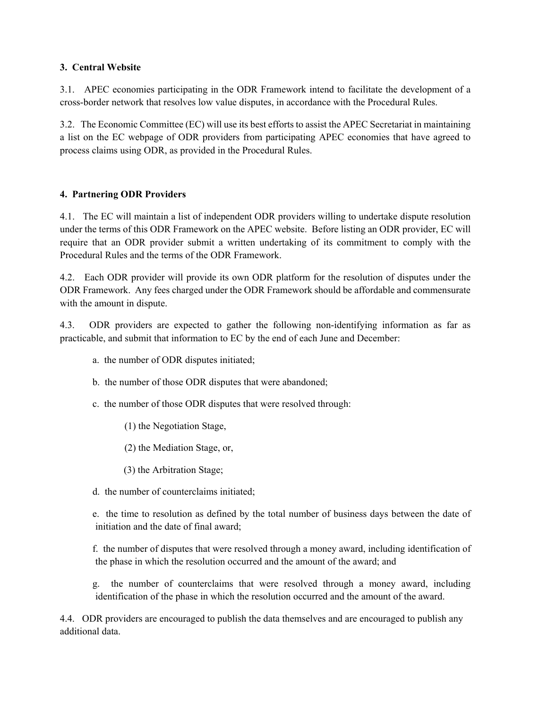## **3. Central Website**

3.1. APEC economies participating in the ODR Framework intend to facilitate the development of a cross-border network that resolves low value disputes, in accordance with the Procedural Rules.

3.2. The Economic Committee (EC) will use its best efforts to assist the APEC Secretariat in maintaining a list on the EC webpage of ODR providers from participating APEC economies that have agreed to process claims using ODR, as provided in the Procedural Rules.

# **4. Partnering ODR Providers**

4.1. The EC will maintain a list of independent ODR providers willing to undertake dispute resolution under the terms of this ODR Framework on the APEC website. Before listing an ODR provider, EC will require that an ODR provider submit a written undertaking of its commitment to comply with the Procedural Rules and the terms of the ODR Framework.

4.2. Each ODR provider will provide its own ODR platform for the resolution of disputes under the ODR Framework. Any fees charged under the ODR Framework should be affordable and commensurate with the amount in dispute.

4.3. ODR providers are expected to gather the following non-identifying information as far as practicable, and submit that information to EC by the end of each June and December:

- a. the number of ODR disputes initiated;
- b. the number of those ODR disputes that were abandoned;
- c. the number of those ODR disputes that were resolved through:
	- (1) the Negotiation Stage,
	- (2) the Mediation Stage, or,
	- (3) the Arbitration Stage;
- d. the number of counterclaims initiated;

 e. the time to resolution as defined by the total number of business days between the date of initiation and the date of final award;

 f. the number of disputes that were resolved through a money award, including identification of the phase in which the resolution occurred and the amount of the award; and

 g. the number of counterclaims that were resolved through a money award, including identification of the phase in which the resolution occurred and the amount of the award.

4.4. ODR providers are encouraged to publish the data themselves and are encouraged to publish any additional data.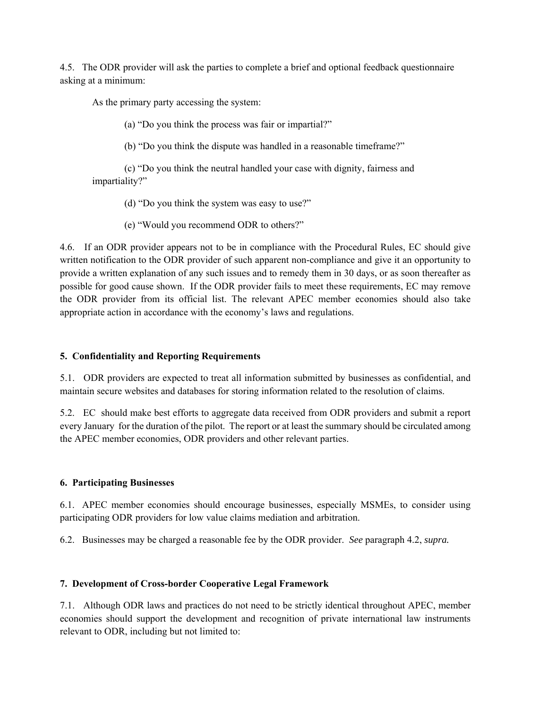4.5. The ODR provider will ask the parties to complete a brief and optional feedback questionnaire asking at a minimum:

As the primary party accessing the system:

(a) "Do you think the process was fair or impartial?"

(b) "Do you think the dispute was handled in a reasonable timeframe?"

(c) "Do you think the neutral handled your case with dignity, fairness and impartiality?"

(d) "Do you think the system was easy to use?"

(e) "Would you recommend ODR to others?"

4.6. If an ODR provider appears not to be in compliance with the Procedural Rules, EC should give written notification to the ODR provider of such apparent non-compliance and give it an opportunity to provide a written explanation of any such issues and to remedy them in 30 days, or as soon thereafter as possible for good cause shown. If the ODR provider fails to meet these requirements, EC may remove the ODR provider from its official list. The relevant APEC member economies should also take appropriate action in accordance with the economy's laws and regulations.

## **5. Confidentiality and Reporting Requirements**

5.1. ODR providers are expected to treat all information submitted by businesses as confidential, and maintain secure websites and databases for storing information related to the resolution of claims.

5.2. EC should make best efforts to aggregate data received from ODR providers and submit a report every January for the duration of the pilot. The report or at least the summary should be circulated among the APEC member economies, ODR providers and other relevant parties.

#### **6. Participating Businesses**

6.1. APEC member economies should encourage businesses, especially MSMEs, to consider using participating ODR providers for low value claims mediation and arbitration.

6.2. Businesses may be charged a reasonable fee by the ODR provider. *See* paragraph 4.2, *supra.*

#### **7. Development of Cross-border Cooperative Legal Framework**

7.1. Although ODR laws and practices do not need to be strictly identical throughout APEC, member economies should support the development and recognition of private international law instruments relevant to ODR, including but not limited to: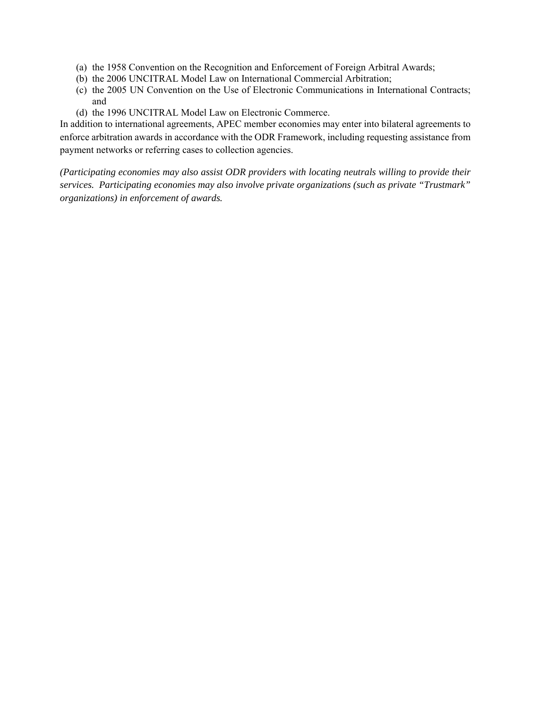- (a) the 1958 Convention on the Recognition and Enforcement of Foreign Arbitral Awards;
- (b) the 2006 UNCITRAL Model Law on International Commercial Arbitration;
- (c) the 2005 UN Convention on the Use of Electronic Communications in International Contracts; and
- (d) the 1996 UNCITRAL Model Law on Electronic Commerce.

In addition to international agreements, APEC member economies may enter into bilateral agreements to enforce arbitration awards in accordance with the ODR Framework, including requesting assistance from payment networks or referring cases to collection agencies.

*(Participating economies may also assist ODR providers with locating neutrals willing to provide their services. Participating economies may also involve private organizations (such as private "Trustmark" organizations) in enforcement of awards.*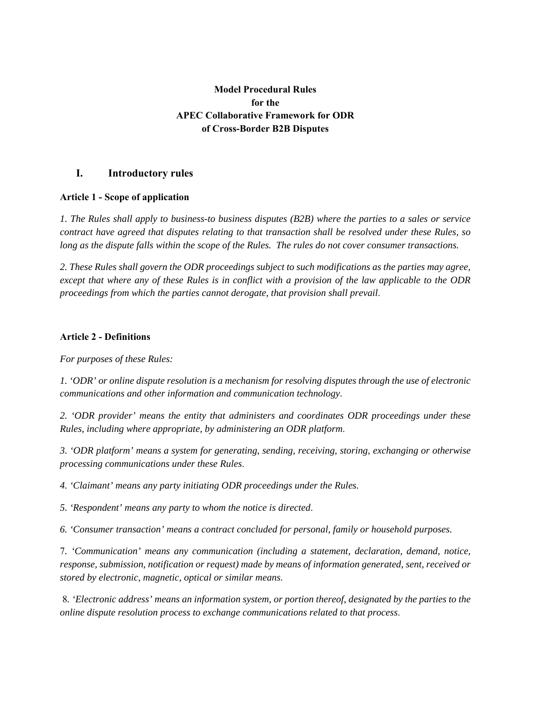# **Model Procedural Rules for the APEC Collaborative Framework for ODR of Cross-Border B2B Disputes**

# **I. Introductory rules**

## **Article 1 - Scope of application**

*1. The Rules shall apply to business-to business disputes (B2B) where the parties to a sales or service contract have agreed that disputes relating to that transaction shall be resolved under these Rules, so long as the dispute falls within the scope of the Rules. The rules do not cover consumer transactions.* 

*2. These Rules shall govern the ODR proceedings subject to such modifications as the parties may agree, except that where any of these Rules is in conflict with a provision of the law applicable to the ODR proceedings from which the parties cannot derogate, that provision shall prevail*.

## **Article 2 - Definitions**

*For purposes of these Rules:* 

*1. 'ODR' or online dispute resolution is a mechanism for resolving disputes through the use of electronic communications and other information and communication technology*.

*2. 'ODR provider' means the entity that administers and coordinates ODR proceedings under these Rules, including where appropriate, by administering an ODR platform*.

*3. 'ODR platform' means a system for generating, sending, receiving, storing, exchanging or otherwise processing communications under these Rules*.

*4. 'Claimant' means any party initiating ODR proceedings under the Rules.*

*5. 'Respondent' means any party to whom the notice is directed*.

*6. 'Consumer transaction' means a contract concluded for personal, family or household purposes.* 

7*. 'Communication' means any communication (including a statement, declaration, demand, notice, response, submission, notification or request) made by means of information generated, sent, received or stored by electronic, magnetic, optical or similar means*.

 8*. 'Electronic address' means an information system, or portion thereof, designated by the parties to the online dispute resolution process to exchange communications related to that process*.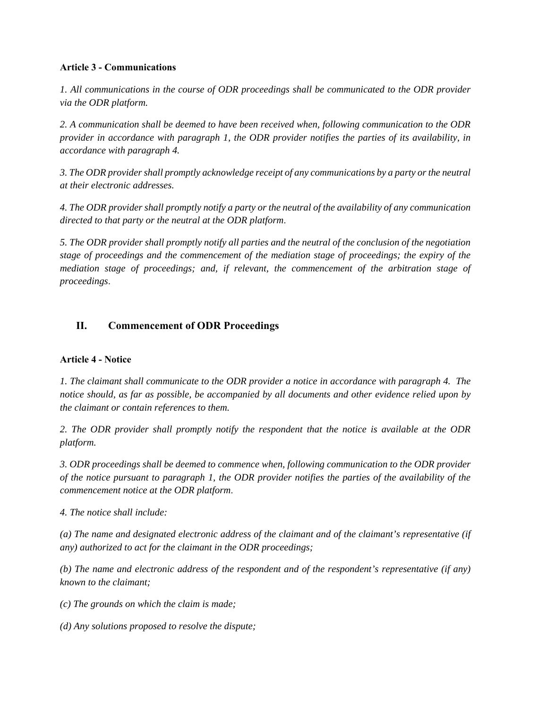## **Article 3 - Communications**

*1. All communications in the course of ODR proceedings shall be communicated to the ODR provider via the ODR platform.* 

*2. A communication shall be deemed to have been received when, following communication to the ODR provider in accordance with paragraph 1, the ODR provider notifies the parties of its availability, in accordance with paragraph 4.* 

*3. The ODR provider shall promptly acknowledge receipt of any communications by a party or the neutral at their electronic addresses.* 

*4. The ODR provider shall promptly notify a party or the neutral of the availability of any communication directed to that party or the neutral at the ODR platform*.

*5. The ODR provider shall promptly notify all parties and the neutral of the conclusion of the negotiation stage of proceedings and the commencement of the mediation stage of proceedings; the expiry of the mediation stage of proceedings; and, if relevant, the commencement of the arbitration stage of proceedings*.

# **II. Commencement of ODR Proceedings**

# **Article 4 - Notice**

*1. The claimant shall communicate to the ODR provider a notice in accordance with paragraph 4. The notice should, as far as possible, be accompanied by all documents and other evidence relied upon by the claimant or contain references to them.* 

*2. The ODR provider shall promptly notify the respondent that the notice is available at the ODR platform.* 

*3. ODR proceedings shall be deemed to commence when, following communication to the ODR provider of the notice pursuant to paragraph 1, the ODR provider notifies the parties of the availability of the commencement notice at the ODR platform*.

*4. The notice shall include:* 

*(a) The name and designated electronic address of the claimant and of the claimant's representative (if any) authorized to act for the claimant in the ODR proceedings;* 

*(b) The name and electronic address of the respondent and of the respondent's representative (if any) known to the claimant;* 

*(c) The grounds on which the claim is made;* 

*(d) Any solutions proposed to resolve the dispute;*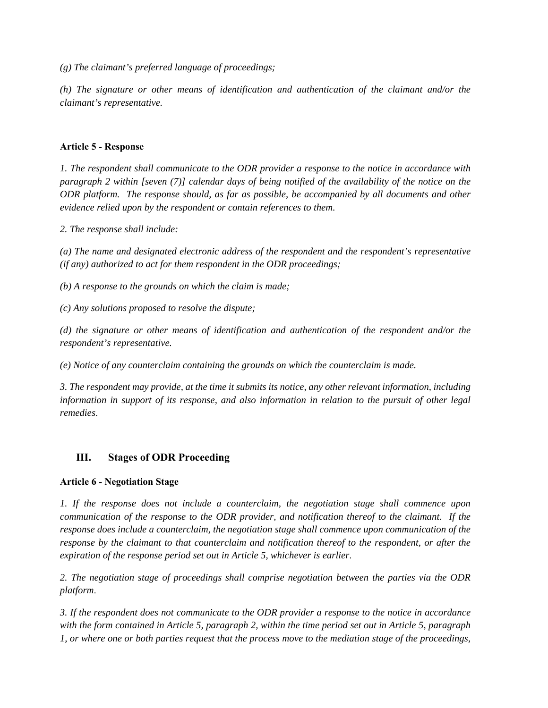*(g) The claimant's preferred language of proceedings;* 

*(h) The signature or other means of identification and authentication of the claimant and/or the claimant's representative.* 

## **Article 5 - Response**

*1. The respondent shall communicate to the ODR provider a response to the notice in accordance with paragraph 2 within [seven (7)] calendar days of being notified of the availability of the notice on the ODR platform. The response should, as far as possible, be accompanied by all documents and other evidence relied upon by the respondent or contain references to them.* 

*2. The response shall include:* 

*(a) The name and designated electronic address of the respondent and the respondent's representative (if any) authorized to act for them respondent in the ODR proceedings;* 

*(b) A response to the grounds on which the claim is made;* 

*(c) Any solutions proposed to resolve the dispute;* 

*(d) the signature or other means of identification and authentication of the respondent and/or the respondent's representative.* 

*(e) Notice of any counterclaim containing the grounds on which the counterclaim is made.* 

*3. The respondent may provide, at the time it submits its notice, any other relevant information, including information in support of its response, and also information in relation to the pursuit of other legal remedies*.

# **III. Stages of ODR Proceeding**

# **Article 6 - Negotiation Stage**

*1. If the response does not include a counterclaim, the negotiation stage shall commence upon communication of the response to the ODR provider, and notification thereof to the claimant. If the response does include a counterclaim, the negotiation stage shall commence upon communication of the response by the claimant to that counterclaim and notification thereof to the respondent, or after the expiration of the response period set out in Article 5, whichever is earlier*.

*2. The negotiation stage of proceedings shall comprise negotiation between the parties via the ODR platform*.

*3. If the respondent does not communicate to the ODR provider a response to the notice in accordance with the form contained in Article 5, paragraph 2, within the time period set out in Article 5, paragraph 1, or where one or both parties request that the process move to the mediation stage of the proceedings,*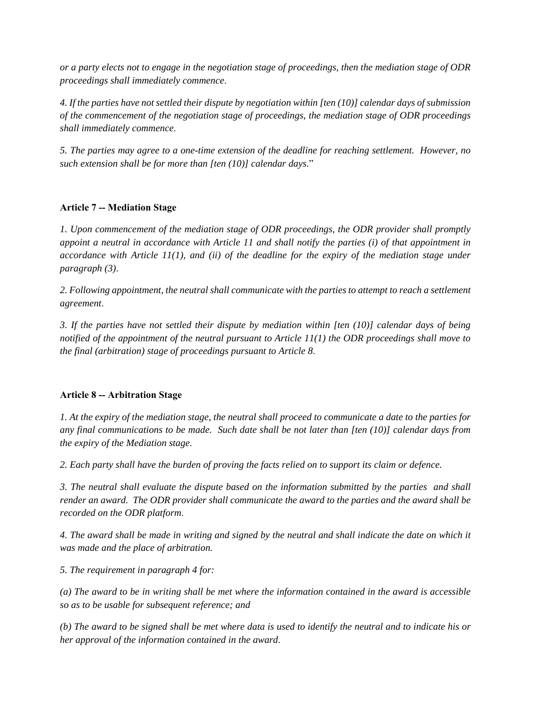*or a party elects not to engage in the negotiation stage of proceedings, then the mediation stage of ODR proceedings shall immediately commence*.

*4. If the parties have not settled their dispute by negotiation within [ten (10)] calendar days of submission of the commencement of the negotiation stage of proceedings, the mediation stage of ODR proceedings shall immediately commence*.

*5. The parties may agree to a one-time extension of the deadline for reaching settlement. However, no such extension shall be for more than [ten (10)] calendar days*."

## **Article 7 -- Mediation Stage**

*1. Upon commencement of the mediation stage of ODR proceedings, the ODR provider shall promptly appoint a neutral in accordance with Article 11 and shall notify the parties (i) of that appointment in accordance with Article 11(1), and (ii) of the deadline for the expiry of the mediation stage under paragraph (3)*.

*2. Following appointment, the neutral shall communicate with the parties to attempt to reach a settlement agreement*.

*3. If the parties have not settled their dispute by mediation within [ten (10)] calendar days of being notified of the appointment of the neutral pursuant to Article 11(1) the ODR proceedings shall move to the final (arbitration) stage of proceedings pursuant to Article 8*.

## **Article 8 -- Arbitration Stage**

*1. At the expiry of the mediation stage, the neutral shall proceed to communicate a date to the parties for any final communications to be made. Such date shall be not later than [ten (10)] calendar days from the expiry of the Mediation stage*.

*2. Each party shall have the burden of proving the facts relied on to support its claim or defence.* 

*3. The neutral shall evaluate the dispute based on the information submitted by the parties and shall render an award. The ODR provider shall communicate the award to the parties and the award shall be recorded on the ODR platform*.

*4. The award shall be made in writing and signed by the neutral and shall indicate the date on which it was made and the place of arbitration.* 

*5. The requirement in paragraph 4 for:* 

*(a) The award to be in writing shall be met where the information contained in the award is accessible so as to be usable for subsequent reference; and* 

*(b) The award to be signed shall be met where data is used to identify the neutral and to indicate his or her approval of the information contained in the award*.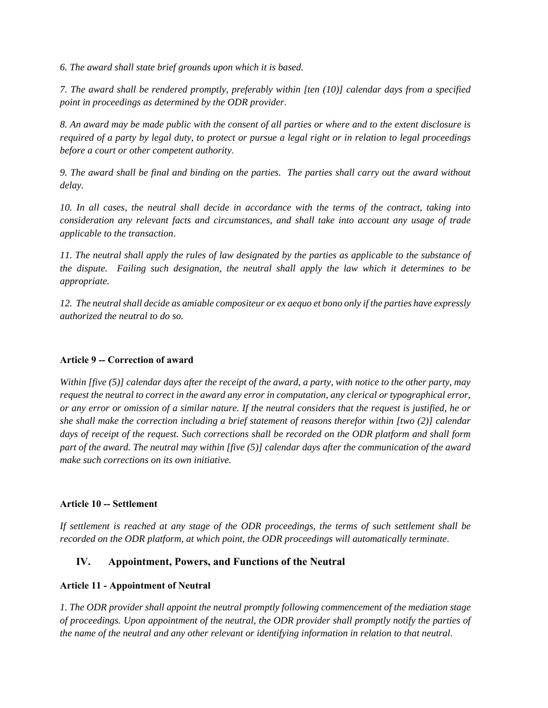*6. The award shall state brief grounds upon which it is based.* 

*7. The award shall be rendered promptly, preferably within [ten (10)] calendar days from a specified point in proceedings as determined by the ODR provider*.

*8. An award may be made public with the consent of all parties or where and to the extent disclosure is required of a party by legal duty, to protect or pursue a legal right or in relation to legal proceedings before a court or other competent authority*.

*9. The award shall be final and binding on the parties. The parties shall carry out the award without delay.*

*10. In all cases, the neutral shall decide in accordance with the terms of the contract, taking into consideration any relevant facts and circumstances, and shall take into account any usage of trade applicable to the transaction*.

*11. The neutral shall apply the rules of law designated by the parties as applicable to the substance of the dispute. Failing such designation, the neutral shall apply the law which it determines to be appropriate.*

*12. The neutral shall decide as amiable compositeur or ex aequo et bono only if the parties have expressly authorized the neutral to do so.* 

# **Article 9 -- Correction of award**

*Within [five (5)] calendar days after the receipt of the award, a party, with notice to the other party, may request the neutral to correct in the award any error in computation, any clerical or typographical error, or any error or omission of a similar nature. If the neutral considers that the request is justified, he or she shall make the correction including a brief statement of reasons therefor within [two (2)] calendar days of receipt of the request. Such corrections shall be recorded on the ODR platform and shall form part of the award. The neutral may within [five (5)] calendar days after the communication of the award make such corrections on its own initiative.* 

# **Article 10 -- Settlement**

*If settlement is reached at any stage of the ODR proceedings, the terms of such settlement shall be recorded on the ODR platform, at which point, the ODR proceedings will automatically terminate*.

# **IV. Appointment, Powers, and Functions of the Neutral**

# **Article 11 - Appointment of Neutral**

*1. The ODR provider shall appoint the neutral promptly following commencement of the mediation stage of proceedings. Upon appointment of the neutral, the ODR provider shall promptly notify the parties of the name of the neutral and any other relevant or identifying information in relation to that neutral*.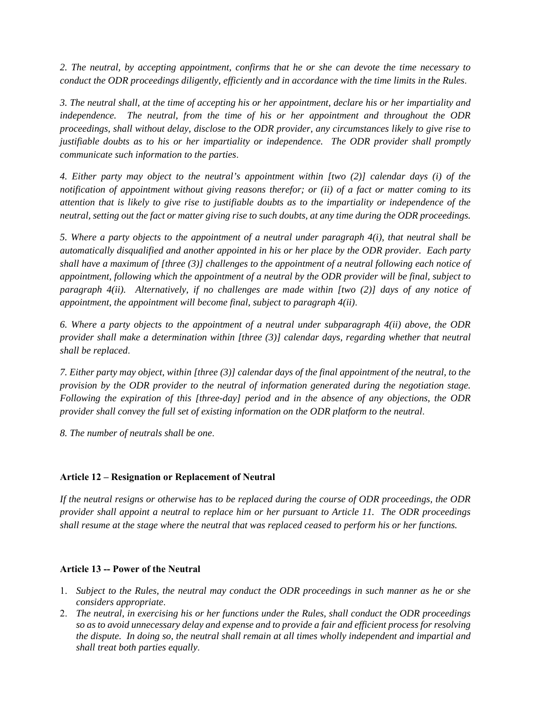*2. The neutral, by accepting appointment, confirms that he or she can devote the time necessary to conduct the ODR proceedings diligently, efficiently and in accordance with the time limits in the Rules*.

*3. The neutral shall, at the time of accepting his or her appointment, declare his or her impartiality and independence. The neutral, from the time of his or her appointment and throughout the ODR proceedings, shall without delay, disclose to the ODR provider, any circumstances likely to give rise to justifiable doubts as to his or her impartiality or independence. The ODR provider shall promptly communicate such information to the parties*.

*4. Either party may object to the neutral's appointment within [two (2)] calendar days (i) of the notification of appointment without giving reasons therefor; or (ii) of a fact or matter coming to its attention that is likely to give rise to justifiable doubts as to the impartiality or independence of the neutral, setting out the fact or matter giving rise to such doubts, at any time during the ODR proceedings.* 

*5. Where a party objects to the appointment of a neutral under paragraph 4(i), that neutral shall be automatically disqualified and another appointed in his or her place by the ODR provider. Each party shall have a maximum of [three (3)] challenges to the appointment of a neutral following each notice of appointment, following which the appointment of a neutral by the ODR provider will be final, subject to paragraph 4(ii). Alternatively, if no challenges are made within [two (2)] days of any notice of appointment, the appointment will become final, subject to paragraph 4(ii)*.

*6. Where a party objects to the appointment of a neutral under subparagraph 4(ii) above, the ODR provider shall make a determination within [three (3)] calendar days, regarding whether that neutral shall be replaced*.

*7. Either party may object, within [three (3)] calendar days of the final appointment of the neutral, to the provision by the ODR provider to the neutral of information generated during the negotiation stage. Following the expiration of this [three-day] period and in the absence of any objections, the ODR provider shall convey the full set of existing information on the ODR platform to the neutral*.

*8. The number of neutrals shall be one*.

## **Article 12 – Resignation or Replacement of Neutral**

*If the neutral resigns or otherwise has to be replaced during the course of ODR proceedings, the ODR provider shall appoint a neutral to replace him or her pursuant to Article 11. The ODR proceedings shall resume at the stage where the neutral that was replaced ceased to perform his or her functions.* 

#### **Article 13 -- Power of the Neutral**

- 1. *Subject to the Rules, the neutral may conduct the ODR proceedings in such manner as he or she considers appropriate*.
- 2. *The neutral, in exercising his or her functions under the Rules, shall conduct the ODR proceedings so as to avoid unnecessary delay and expense and to provide a fair and efficient process for resolving the dispute. In doing so, the neutral shall remain at all times wholly independent and impartial and shall treat both parties equally*.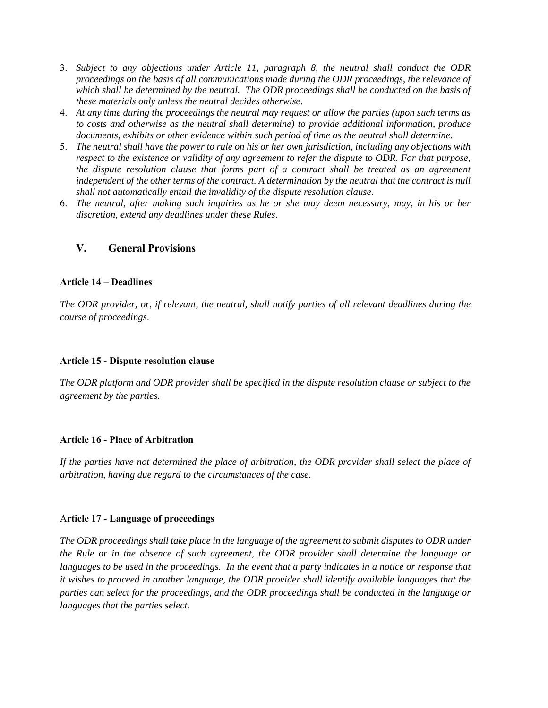- 3. *Subject to any objections under Article 11, paragraph 8, the neutral shall conduct the ODR proceedings on the basis of all communications made during the ODR proceedings, the relevance of which shall be determined by the neutral. The ODR proceedings shall be conducted on the basis of these materials only unless the neutral decides otherwise*.
- 4. *At any time during the proceedings the neutral may request or allow the parties (upon such terms as to costs and otherwise as the neutral shall determine) to provide additional information, produce documents, exhibits or other evidence within such period of time as the neutral shall determine*.
- 5. *The neutral shall have the power to rule on his or her own jurisdiction, including any objections with respect to the existence or validity of any agreement to refer the dispute to ODR. For that purpose, the dispute resolution clause that forms part of a contract shall be treated as an agreement*  independent of the other terms of the contract. A determination by the neutral that the contract is null *shall not automatically entail the invalidity of the dispute resolution clause*.
- 6. *The neutral, after making such inquiries as he or she may deem necessary, may, in his or her discretion, extend any deadlines under these Rules*.

## **V. General Provisions**

#### **Article 14 – Deadlines**

*The ODR provider, or, if relevant, the neutral, shall notify parties of all relevant deadlines during the course of proceedings*.

#### **Article 15 - Dispute resolution clause**

*The ODR platform and ODR provider shall be specified in the dispute resolution clause or subject to the agreement by the parties.* 

#### **Article 16 - Place of Arbitration**

If the parties have not determined the place of arbitration, the ODR provider shall select the place of *arbitration, having due regard to the circumstances of the case.* 

#### A**rticle 17 - Language of proceedings**

*The ODR proceedings shall take place in the language of the agreement to submit disputes to ODR under the Rule or in the absence of such agreement, the ODR provider shall determine the language or languages to be used in the proceedings. In the event that a party indicates in a notice or response that it wishes to proceed in another language, the ODR provider shall identify available languages that the parties can select for the proceedings, and the ODR proceedings shall be conducted in the language or languages that the parties select*.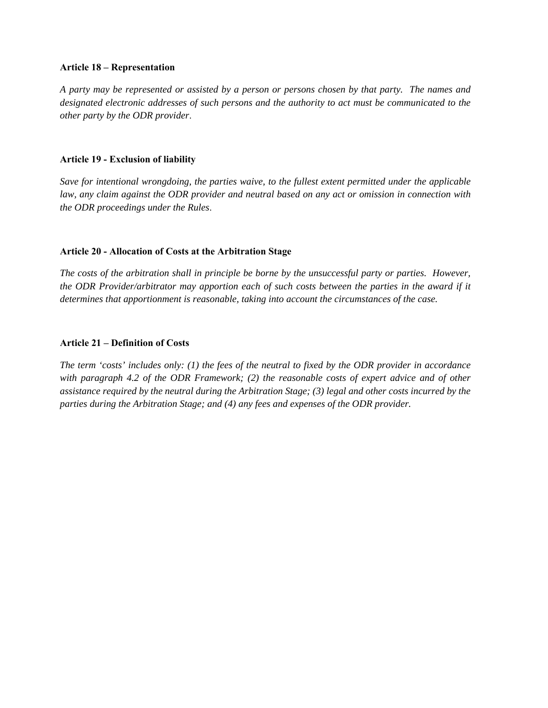#### **Article 18 – Representation**

*A party may be represented or assisted by a person or persons chosen by that party. The names and designated electronic addresses of such persons and the authority to act must be communicated to the other party by the ODR provider*.

## **Article 19 - Exclusion of liability**

*Save for intentional wrongdoing, the parties waive, to the fullest extent permitted under the applicable law, any claim against the ODR provider and neutral based on any act or omission in connection with the ODR proceedings under the Rules*.

#### **Article 20 - Allocation of Costs at the Arbitration Stage**

*The costs of the arbitration shall in principle be borne by the unsuccessful party or parties. However, the ODR Provider/arbitrator may apportion each of such costs between the parties in the award if it determines that apportionment is reasonable, taking into account the circumstances of the case.* 

#### **Article 21 – Definition of Costs**

*The term 'costs' includes only: (1) the fees of the neutral to fixed by the ODR provider in accordance with paragraph 4.2 of the ODR Framework; (2) the reasonable costs of expert advice and of other assistance required by the neutral during the Arbitration Stage; (3) legal and other costs incurred by the parties during the Arbitration Stage; and (4) any fees and expenses of the ODR provider.*